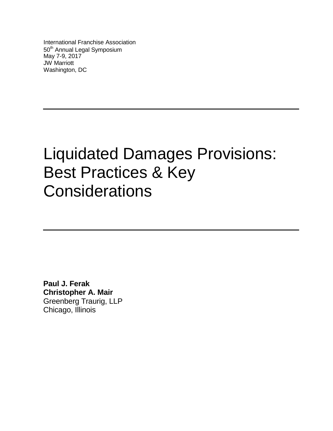International Franchise Association 50<sup>th</sup> Annual Legal Symposium May 7-9, 2017 JW Marriott Washington, DC

# Liquidated Damages Provisions: Best Practices & Key **Considerations**

 **Paul J. Ferak Christopher A. Mair** Greenberg Traurig, LLP Chicago, Illinois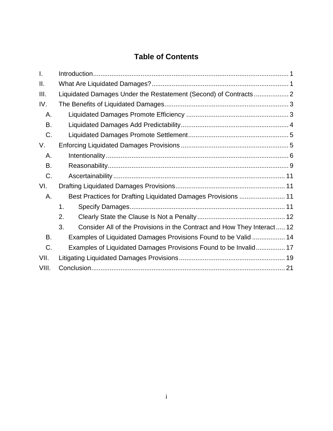# **Table of Contents**

| I.    |                                                                               |  |
|-------|-------------------------------------------------------------------------------|--|
| П.    |                                                                               |  |
| III.  | Liquidated Damages Under the Restatement (Second) of Contracts 2              |  |
| IV.   |                                                                               |  |
| А.    |                                                                               |  |
| В.    |                                                                               |  |
| C.    |                                                                               |  |
| V.    |                                                                               |  |
| А.    |                                                                               |  |
| В.    |                                                                               |  |
| C.    |                                                                               |  |
| VI.   |                                                                               |  |
| Α.    | Best Practices for Drafting Liquidated Damages Provisions  11                 |  |
|       | 1.                                                                            |  |
|       | 2.                                                                            |  |
|       | 3.<br>Consider All of the Provisions in the Contract and How They Interact 12 |  |
| B.    | Examples of Liquidated Damages Provisions Found to be Valid  14               |  |
| C.    | Examples of Liquidated Damages Provisions Found to be Invalid 17              |  |
| VII.  |                                                                               |  |
| VIII. |                                                                               |  |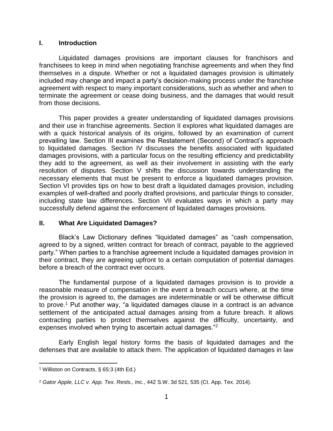#### <span id="page-2-0"></span>**I. Introduction**

Liquidated damages provisions are important clauses for franchisors and franchisees to keep in mind when negotiating franchise agreements and when they find themselves in a dispute. Whether or not a liquidated damages provision is ultimately included may change and impact a party's decision-making process under the franchise agreement with respect to many important considerations, such as whether and when to terminate the agreement or cease doing business, and the damages that would result from those decisions.

This paper provides a greater understanding of liquidated damages provisions and their use in franchise agreements. Section II explores what liquidated damages are with a quick historical analysis of its origins, followed by an examination of current prevailing law. Section III examines the Restatement (Second) of Contract's approach to liquidated damages. Section IV discusses the benefits associated with liquidated damages provisions, with a particular focus on the resulting efficiency and predictability they add to the agreement, as well as their involvement in assisting with the early resolution of disputes. Section V shifts the discussion towards understanding the necessary elements that must be present to enforce a liquidated damages provision. Section VI provides tips on how to best draft a liquidated damages provision, including examples of well-drafted and poorly drafted provisions, and particular things to consider, including state law differences. Section VII evaluates ways in which a party may successfully defend against the enforcement of liquidated damages provisions.

## <span id="page-2-1"></span>**II. What Are Liquidated Damages?**

Black's Law Dictionary defines "liquidated damages" as "cash compensation, agreed to by a signed, written contract for breach of contract, payable to the aggrieved party." When parties to a franchise agreement include a liquidated damages provision in their contract, they are agreeing upfront to a certain computation of potential damages before a breach of the contract ever occurs.

The fundamental purpose of a liquidated damages provision is to provide a reasonable measure of compensation in the event a breach occurs where, at the time the provision is agreed to, the damages are indeterminable or will be otherwise difficult to prove. <sup>1</sup> Put another way, "a liquidated damages clause in a contract is an advance settlement of the anticipated actual damages arising from a future breach. It allows contracting parties to protect themselves against the difficulty, uncertainty, and expenses involved when trying to ascertain actual damages."<sup>2</sup>

Early English legal history forms the basis of liquidated damages and the defenses that are available to attack them. The application of liquidated damages in law

 $\overline{a}$ <sup>1</sup> Williston on Contracts, § 65:3 (4th Ed.)

<sup>2</sup> *Gator Apple, LLC v. App. Tex. Rests., Inc.*, 442 S.W. 3d 521, 535 (Ct. App. Tex. 2014).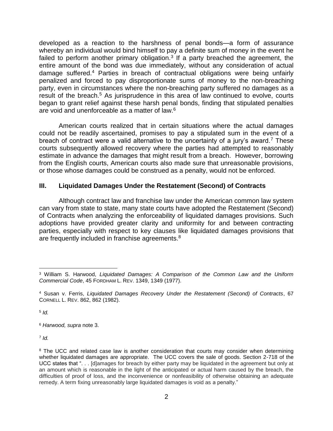developed as a reaction to the harshness of penal bonds—a form of assurance whereby an individual would bind himself to pay a definite sum of money in the event he failed to perform another primary obligation. $3$  If a party breached the agreement, the entire amount of the bond was due immediately, without any consideration of actual damage suffered.<sup>4</sup> Parties in breach of contractual obligations were being unfairly penalized and forced to pay disproportionate sums of money to the non-breaching party, even in circumstances where the non-breaching party suffered no damages as a result of the breach.<sup>5</sup> As jurisprudence in this area of law continued to evolve, courts began to grant relief against these harsh penal bonds, finding that stipulated penalties are void and unenforceable as a matter of law.<sup>6</sup>

American courts realized that in certain situations where the actual damages could not be readily ascertained, promises to pay a stipulated sum in the event of a breach of contract were a valid alternative to the uncertainty of a jury's award.<sup>7</sup> These courts subsequently allowed recovery where the parties had attempted to reasonably estimate in advance the damages that might result from a breach. However, borrowing from the English courts, American courts also made sure that unreasonable provisions, or those whose damages could be construed as a penalty, would not be enforced.

## <span id="page-3-0"></span>**III. Liquidated Damages Under the Restatement (Second) of Contracts**

Although contract law and franchise law under the American common law system can vary from state to state, many state courts have adopted the Restatement (Second) of Contracts when analyzing the enforceability of liquidated damages provisions. Such adoptions have provided greater clarity and uniformity for and between contracting parties, especially with respect to key clauses like liquidated damages provisions that are frequently included in franchise agreements.<sup>8</sup>

5 *Id.*

<sup>6</sup> *Harwood, supra* note 3.

7 *Id.*

 $\overline{a}$ <sup>3</sup> William S. Harwood, *Liquidated Damages: A Comparison of the Common Law and the Uniform Commercial Code*, 45 FORDHAM L. REV. 1349, 1349 (1977).

<sup>4</sup> Susan v. Ferris, *Liquidated Damages Recovery Under the Restatement (Second) of Contracts*, 67 CORNELL L. REV. 862, 862 (1982).

<sup>&</sup>lt;sup>8</sup> The UCC and related case law is another consideration that courts may consider when determining whether liquidated damages are appropriate. The UCC covers the sale of goods. Section 2-718 of the UCC states that ". . . [d]amages for breach by either party may be liquidated in the agreement but only at an amount which is reasonable in the light of the anticipated or actual harm caused by the breach, the difficulties of proof of loss, and the inconvenience or nonfeasibility of otherwise obtaining an adequate remedy. A term fixing unreasonably large liquidated damages is void as a penalty."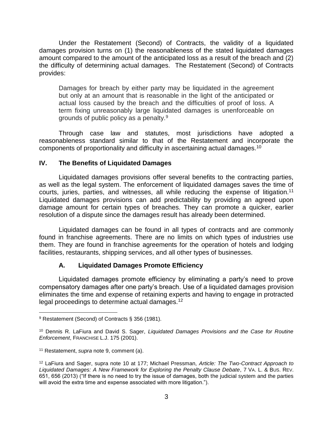Under the Restatement (Second) of Contracts, the validity of a liquidated damages provision turns on (1) the reasonableness of the stated liquidated damages amount compared to the amount of the anticipated loss as a result of the breach and (2) the difficulty of determining actual damages. The Restatement (Second) of Contracts provides:

Damages for breach by either party may be liquidated in the agreement but only at an amount that is reasonable in the light of the anticipated or actual loss caused by the breach and the difficulties of proof of loss. A term fixing unreasonably large liquidated damages is unenforceable on grounds of public policy as a penalty.<sup>9</sup>

Through case law and statutes, most jurisdictions have adopted a reasonableness standard similar to that of the Restatement and incorporate the components of proportionality and difficulty in ascertaining actual damages.<sup>10</sup>

## <span id="page-4-0"></span>**IV. The Benefits of Liquidated Damages**

Liquidated damages provisions offer several benefits to the contracting parties, as well as the legal system. The enforcement of liquidated damages saves the time of courts, juries, parties, and witnesses, all while reducing the expense of litigation.<sup>11</sup> Liquidated damages provisions can add predictability by providing an agreed upon damage amount for certain types of breaches. They can promote a quicker, earlier resolution of a dispute since the damages result has already been determined.

Liquidated damages can be found in all types of contracts and are commonly found in franchise agreements. There are no limits on which types of industries use them. They are found in franchise agreements for the operation of hotels and lodging facilities, restaurants, shipping services, and all other types of businesses.

# **A. Liquidated Damages Promote Efficiency**

<span id="page-4-1"></span>Liquidated damages promote efficiency by eliminating a party's need to prove compensatory damages after one party's breach. Use of a liquidated damages provision eliminates the time and expense of retaining experts and having to engage in protracted legal proceedings to determine actual damages.<sup>12</sup>

<sup>9</sup> Restatement (Second) of Contracts § 356 (1981).

<sup>10</sup> Dennis R. LaFiura and David S. Sager, *Liquidated Damages Provisions and the Case for Routine Enforcement*, FRANCHISE L.J. 175 (2001).

<sup>11</sup> Restatement, *supra* note 9, comment (a).

<sup>12</sup> LaFiura and Sager, supra note 10 at 177; Michael Pressman, *Article: The Two-Contract Approach to Liquidated Damages: A New Framework for Exploring the Penalty Clause Debate*, 7 VA. L. & BUS. REV. 651, 656 (2013) ("If there is no need to try the issue of damages, both the judicial system and the parties will avoid the extra time and expense associated with more litigation.").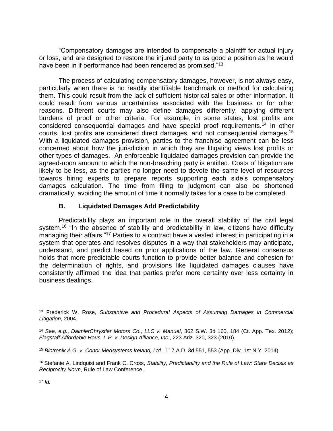"Compensatory damages are intended to compensate a plaintiff for actual injury or loss, and are designed to restore the injured party to as good a position as he would have been in if performance had been rendered as promised."<sup>13</sup>

The process of calculating compensatory damages, however, is not always easy, particularly when there is no readily identifiable benchmark or method for calculating them. This could result from the lack of sufficient historical sales or other information. It could result from various uncertainties associated with the business or for other reasons. Different courts may also define damages differently, applying different burdens of proof or other criteria. For example, in some states, lost profits are considered consequential damages and have special proof requirements.<sup>14</sup> In other courts, lost profits are considered direct damages, and not consequential damages.<sup>15</sup> With a liquidated damages provision, parties to the franchise agreement can be less concerned about how the jurisdiction in which they are litigating views lost profits or other types of damages. An enforceable liquidated damages provision can provide the agreed-upon amount to which the non-breaching party is entitled. Costs of litigation are likely to be less, as the parties no longer need to devote the same level of resources towards hiring experts to prepare reports supporting each side's compensatory damages calculation. The time from filing to judgment can also be shortened dramatically, avoiding the amount of time it normally takes for a case to be completed.

## **B. Liquidated Damages Add Predictability**

<span id="page-5-0"></span>Predictability plays an important role in the overall stability of the civil legal system.<sup>16</sup> "In the absence of stability and predictability in law, citizens have difficulty managing their affairs."<sup>17</sup> Parties to a contract have a vested interest in participating in a system that operates and resolves disputes in a way that stakeholders may anticipate, understand, and predict based on prior applications of the law. General consensus holds that more predictable courts function to provide better balance and cohesion for the determination of rights, and provisions like liquidated damages clauses have consistently affirmed the idea that parties prefer more certainty over less certainty in business dealings.

<sup>13</sup> Frederick W. Rose, *Substantive and Procedural Aspects of Assuming Damages in Commercial Litigation*, 2004.

<sup>14</sup> *See, e.g.*, *DaimlerChrystler Motors Co., LLC v. Manuel*, 362 S.W. 3d 160, 184 (Ct. App. Tex. 2012); *Flagstaff Affordable Hous. L.P. v. Design Alliance, Inc.*, 223 Ariz. 320, 323 (2010).

<sup>15</sup> *Biotronik A.G. v. Conor Medsystems Ireland, Ltd.*, 117 A.D. 3d 551, 553 (App. Div. 1st N.Y. 2014).

<sup>16</sup> Stefanie A. Lindquist and Frank C. Cross, *Stability, Predictability and the Rule of Law: Stare Decisis as Reciprocity Norm*, Rule of Law Conference.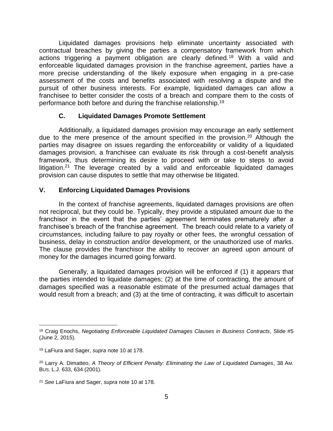Liquidated damages provisions help eliminate uncertainty associated with contractual breaches by giving the parties a compensatory framework from which actions triggering a payment obligation are clearly defined.<sup>18</sup> With a valid and enforceable liquidated damages provision in the franchise agreement, parties have a more precise understanding of the likely exposure when engaging in a pre-case assessment of the costs and benefits associated with resolving a dispute and the pursuit of other business interests. For example, liquidated damages can allow a franchisee to better consider the costs of a breach and compare them to the costs of performance both before and during the franchise relationship.<sup>19</sup>

## **C. Liquidated Damages Promote Settlement**

<span id="page-6-0"></span>Additionally, a liquidated damages provision may encourage an early settlement due to the mere presence of the amount specified in the provision.<sup>20</sup> Although the parties may disagree on issues regarding the enforceability or validity of a liquidated damages provision, a franchisee can evaluate its risk through a cost-benefit analysis framework, thus determining its desire to proceed with or take to steps to avoid litigation.<sup>21</sup> The leverage created by a valid and enforceable liquidated damages provision can cause disputes to settle that may otherwise be litigated.

## <span id="page-6-1"></span>**V. Enforcing Liquidated Damages Provisions**

In the context of franchise agreements, liquidated damages provisions are often not reciprocal, but they could be. Typically, they provide a stipulated amount due to the franchisor in the event that the parties' agreement terminates prematurely after a franchisee's breach of the franchise agreement. The breach could relate to a variety of circumstances, including failure to pay royalty or other fees, the wrongful cessation of business, delay in construction and/or development, or the unauthorized use of marks. The clause provides the franchisor the ability to recover an agreed upon amount of money for the damages incurred going forward.

Generally, a liquidated damages provision will be enforced if (1) it appears that the parties intended to liquidate damages; (2) at the time of contracting, the amount of damages specified was a reasonable estimate of the presumed actual damages that would result from a breach; and (3) at the time of contracting, it was difficult to ascertain

<sup>18</sup> Craig Enochs, *Negotiating Enforceable Liquidated Damages Clauses in Business Contracts*, Slide #5 (June 2, 2015).

<sup>19</sup> LaFiura and Sager, *supra* note 10 at 178.

<sup>20</sup> Larry A. Dimatteo, *A Theory of Efficient Penalty: Eliminating the Law of Liquidated Damages*, 38 AM. BUS. L.J. 633, 634 (2001).

<sup>21</sup> *See* LaFiura and Sager, *supra* note 10 at 178.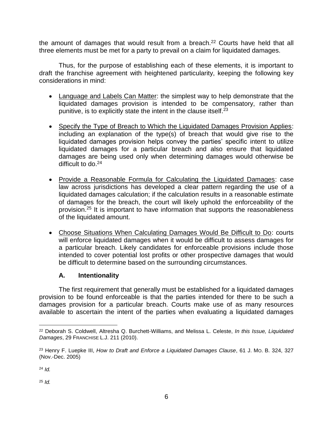the amount of damages that would result from a breach.<sup>22</sup> Courts have held that all three elements must be met for a party to prevail on a claim for liquidated damages.

Thus, for the purpose of establishing each of these elements, it is important to draft the franchise agreement with heightened particularity, keeping the following key considerations in mind:

- Language and Labels Can Matter: the simplest way to help demonstrate that the liquidated damages provision is intended to be compensatory, rather than punitive, is to explicitly state the intent in the clause itself.<sup>23</sup>
- Specify the Type of Breach to Which the Liquidated Damages Provision Applies: including an explanation of the type(s) of breach that would give rise to the liquidated damages provision helps convey the parties' specific intent to utilize liquidated damages for a particular breach and also ensure that liquidated damages are being used only when determining damages would otherwise be difficult to  $d_0$ <sup>24</sup>
- Provide a Reasonable Formula for Calculating the Liquidated Damages: case law across jurisdictions has developed a clear pattern regarding the use of a liquidated damages calculation; if the calculation results in a reasonable estimate of damages for the breach, the court will likely uphold the enforceability of the provision.<sup>25</sup> It is important to have information that supports the reasonableness of the liquidated amount.
- Choose Situations When Calculating Damages Would Be Difficult to Do: courts will enforce liquidated damages when it would be difficult to assess damages for a particular breach. Likely candidates for enforceable provisions include those intended to cover potential lost profits or other prospective damages that would be difficult to determine based on the surrounding circumstances.

# **A. Intentionality**

<span id="page-7-0"></span>The first requirement that generally must be established for a liquidated damages provision to be found enforceable is that the parties intended for there to be such a damages provision for a particular breach. Courts make use of as many resources available to ascertain the intent of the parties when evaluating a liquidated damages

<sup>25</sup> *Id.*

 $\overline{a}$ <sup>22</sup> Deborah S. Coldwell, Altresha Q. Burchett-Williams, and Melissa L. Celeste, *In this Issue, Liquidated Damages*, 29 FRANCHISE L.J. 211 (2010).

<sup>23</sup> Henry F. Luepke III, *How to Draft and Enforce a Liquidated Damages Clause*, 61 J. MO. B. 324, 327 (Nov.-Dec. 2005)

<sup>24</sup> *Id.*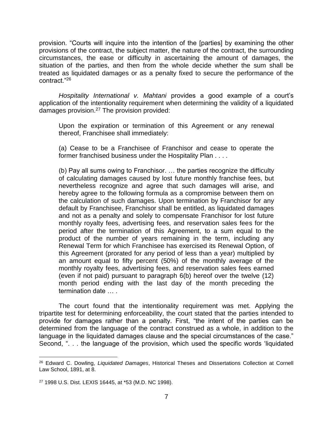provision. "Courts will inquire into the intention of the [parties] by examining the other provisions of the contract, the subject matter, the nature of the contract, the surrounding circumstances, the ease or difficulty in ascertaining the amount of damages, the situation of the parties, and then from the whole decide whether the sum shall be treated as liquidated damages or as a penalty fixed to secure the performance of the contract."<sup>26</sup>

*Hospitality International v. Mahtani* provides a good example of a court's application of the intentionality requirement when determining the validity of a liquidated damages provision.<sup>27</sup> The provision provided:

Upon the expiration or termination of this Agreement or any renewal thereof, Franchisee shall immediately:

(a) Cease to be a Franchisee of Franchisor and cease to operate the former franchised business under the Hospitality Plan . . . .

(b) Pay all sums owing to Franchisor. … the parties recognize the difficulty of calculating damages caused by lost future monthly franchise fees, but nevertheless recognize and agree that such damages will arise, and hereby agree to the following formula as a compromise between them on the calculation of such damages. Upon termination by Franchisor for any default by Franchisee, Franchisor shall be entitled, as liquidated damages and not as a penalty and solely to compensate Franchisor for lost future monthly royalty fees, advertising fees, and reservation sales fees for the period after the termination of this Agreement, to a sum equal to the product of the number of years remaining in the term, including any Renewal Term for which Franchisee has exercised its Renewal Option, of this Agreement (prorated for any period of less than a year) multiplied by an amount equal to fifty percent (50%) of the monthly average of the monthly royalty fees, advertising fees, and reservation sales fees earned (even if not paid) pursuant to paragraph 6(b) hereof over the twelve (12) month period ending with the last day of the month preceding the termination date … .

The court found that the intentionality requirement was met. Applying the tripartite test for determining enforceability, the court stated that the parties intended to provide for damages rather than a penalty. First, "the intent of the parties can be determined from the language of the contract construed as a whole, in addition to the language in the liquidated damages clause and the special circumstances of the case." Second, ". . . the language of the provision, which used the specific words 'liquidated

 $\overline{a}$ <sup>26</sup> Edward C. Dowling, *Liquidated Damages*, Historical Theses and Dissertations Collection at Cornell Law School, 1891, at 8.

<sup>27</sup> 1998 U.S. Dist. LEXIS 16445, at \*53 (M.D. NC 1998).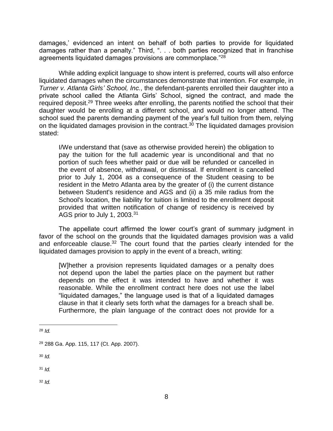damages,' evidenced an intent on behalf of both parties to provide for liquidated damages rather than a penalty." Third, ". . . both parties recognized that in franchise agreements liquidated damages provisions are commonplace."<sup>28</sup>

While adding explicit language to show intent is preferred, courts will also enforce liquidated damages when the circumstances demonstrate that intention. For example, in *Turner v. Atlanta Girls' School, Inc.*, the defendant-parents enrolled their daughter into a private school called the Atlanta Girls' School, signed the contract, and made the required deposit.<sup>29</sup> Three weeks after enrolling, the parents notified the school that their daughter would be enrolling at a different school, and would no longer attend. The school sued the parents demanding payment of the year's full tuition from them, relying on the liquidated damages provision in the contract.<sup>30</sup> The liquidated damages provision stated:

I/We understand that (save as otherwise provided herein) the obligation to pay the tuition for the full academic year is unconditional and that no portion of such fees whether paid or due will be refunded or cancelled in the event of absence, withdrawal, or dismissal. If enrollment is cancelled prior to July 1, 2004 as a consequence of the Student ceasing to be resident in the Metro Atlanta area by the greater of (i) the current distance between Student's residence and AGS and (ii) a 35 mile radius from the School's location, the liability for tuition is limited to the enrollment deposit provided that written notification of change of residency is received by AGS prior to July 1, 2003.<sup>31</sup>

The appellate court affirmed the lower court's grant of summary judgment in favor of the school on the grounds that the liquidated damages provision was a valid and enforceable clause.<sup>32</sup> The court found that the parties clearly intended for the liquidated damages provision to apply in the event of a breach, writing:

[W]hether a provision represents liquidated damages or a penalty does not depend upon the label the parties place on the payment but rather depends on the effect it was intended to have and whether it was reasonable. While the enrollment contract here does not use the label "liquidated damages," the language used is that of a liquidated damages clause in that it clearly sets forth what the damages for a breach shall be. Furthermore, the plain language of the contract does not provide for a

 $\overline{a}$ 

<sup>30</sup> *Id.*

 $31$  *Id.* 

<sup>32</sup> *Id.*

<sup>28</sup> *Id.*

<sup>29</sup> 288 Ga. App. 115, 117 (Ct. App. 2007).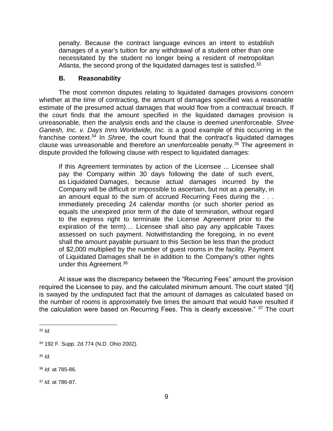penalty. Because the contract language evinces an intent to establish damages of a year's tuition for any withdrawal of a student other than one necessitated by the student no longer being a resident of metropolitan Atlanta, the second prong of the liquidated damages test is satisfied.<sup>33</sup>

## **B. Reasonability**

<span id="page-10-0"></span>The most common disputes relating to liquidated damages provisions concern whether at the time of contracting, the amount of damages specified was a reasonable estimate of the presumed actual damages that would flow from a contractual breach. If the court finds that the amount specified in the liquidated damages provision is unreasonable, then the analysis ends and the clause is deemed unenforceable. *Shree Ganesh, Inc. v. Days Inns Worldwide, Inc.* is a good example of this occurring in the franchise context.<sup>34</sup> In *Shree*, the court found that the contract's liquidated damages clause was unreasonable and therefore an unenforceable penalty.<sup>35</sup> The agreement in dispute provided the following clause with respect to liquidated damages:

If this Agreement terminates by action of the Licensee ... Licensee shall pay the Company within 30 days following the date of such event, as Liquidated Damages, because actual damages incurred by the Company will be difficult or impossible to ascertain, but not as a penalty, in an amount equal to the sum of accrued Recurring Fees during the . . . immediately preceding 24 calendar months (or such shorter period as equals the unexpired prior term of the date of termination, without regard to the express right to terminate the License Agreement prior to the expiration of the term).... Licensee shall also pay any applicable Taxes assessed on such payment. Notwithstanding the foregoing, in no event shall the amount payable pursuant to this Section be less than the product of \$2,000 multiplied by the number of guest rooms in the facility. Payment of Liquidated Damages shall be in addition to the Company's other rights under this Agreement.<sup>36</sup>

At issue was the discrepancy between the "Recurring Fees" amount the provision required the Licensee to pay, and the calculated minimum amount. The court stated "[it] is swayed by the undisputed fact that the amount of damages as calculated based on the number of rooms is approximately five times the amount that would have resulted if the calculation were based on Recurring Fees. This is clearly excessive." <sup>37</sup> The court

<sup>35</sup> *Id.*

<sup>36</sup> *Id.* at 785-86.

<sup>37</sup> *Id.* at 786-87.

 $\overline{a}$ <sup>33</sup> *Id.*

<sup>34</sup> 192 F. Supp. 2d 774 (N.D. Ohio 2002).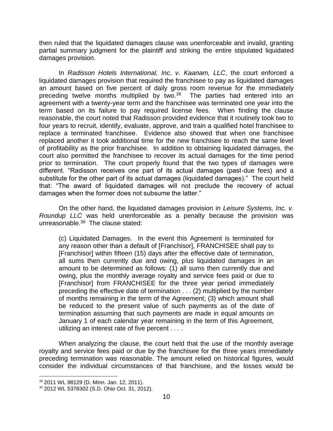then ruled that the liquidated damages clause was unenforceable and invalid, granting partial summary judgment for the plaintiff and striking the entire stipulated liquidated damages provision.

In *Radisson Hotels International, Inc. v. Kaanam, LLC*, the court enforced a liquidated damages provision that required the franchisee to pay as liquidated damages an amount based on five percent of daily gross room revenue for the immediately preceding twelve months multiplied by two.<sup>38</sup> The parties had entered into an agreement with a twenty-year term and the franchisee was terminated one year into the term based on its failure to pay required license fees. When finding the clause reasonable, the court noted that Radisson provided evidence that it routinely took two to four years to recruit, identify, evaluate, approve, and train a qualified hotel franchisee to replace a terminated franchisee. Evidence also showed that when one franchisee replaced another it took additional time for the new franchisee to reach the same level of profitability as the prior franchisee. In addition to obtaining liquidated damages, the court also permitted the franchisee to recover its actual damages for the time period prior to termination. The court properly found that the two types of damages were different. "Radisson receives one part of its actual damages (past-due fees) and a substitute for the other part of its actual damages (liquidated damages)." The court held that: "The award of liquidated damages will not preclude the recovery of actual damages when the former does not subsume the latter."

On the other hand, the liquidated damages provision in *Leisure Systems, Inc. v. Roundup LLC* was held unenforceable as a penalty because the provision was unreasonable.<sup>39</sup> The clause stated:

(c) Liquidated Damages. In the event this Agreement is terminated for any reason other than a default of [Franchisor], FRANCHISEE shall pay to [Franchisor] within fifteen (15) days after the effective date of termination, all sums then currently due and owing, plus liquidated damages in an amount to be determined as follows: (1) all sums then currently due and owing, plus the monthly average royalty and service fees paid or due to [Franchisor] from FRANCHISEE for the three year period immediately preceding the effective date of termination . . . (2) multiplied by the number of months remaining in the term of the Agreement; (3) which amount shall be reduced to the present value of such payments as of the date of termination assuming that such payments are made in equal amounts on January 1 of each calendar year remaining in the term of this Agreement, utilizing an interest rate of five percent . . . .

When analyzing the clause, the court held that the use of the monthly average royalty and service fees paid or due by the franchisee for the three years immediately preceding termination was reasonable. The amount relied on historical figures, would consider the individual circumstances of that franchisee, and the losses would be

<sup>38</sup> 2011 WL 98129 (D. Minn. Jan. 12, 2011).

<sup>39</sup> 2012 WL 5378302 (S.D. Ohio Oct. 31, 2012).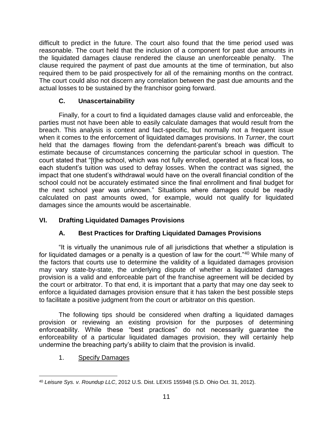difficult to predict in the future. The court also found that the time period used was reasonable. The court held that the inclusion of a component for past due amounts in the liquidated damages clause rendered the clause an unenforceable penalty. The clause required the payment of past due amounts at the time of termination, but also required them to be paid prospectively for all of the remaining months on the contract. The court could also not discern any correlation between the past due amounts and the actual losses to be sustained by the franchisor going forward.

# **C. Unascertainability**

<span id="page-12-0"></span>Finally, for a court to find a liquidated damages clause valid and enforceable, the parties must not have been able to easily calculate damages that would result from the breach. This analysis is context and fact-specific, but normally not a frequent issue when it comes to the enforcement of liquidated damages provisions. In *Turner*, the court held that the damages flowing from the defendant-parent's breach was difficult to estimate because of circumstances concerning the particular school in question. The court stated that "[t]he school, which was not fully enrolled, operated at a fiscal loss, so each student's tuition was used to defray losses. When the contract was signed, the impact that one student's withdrawal would have on the overall financial condition of the school could not be accurately estimated since the final enrollment and final budget for the next school year was unknown." Situations where damages could be readily calculated on past amounts owed, for example, would not qualify for liquidated damages since the amounts would be ascertainable.

# <span id="page-12-2"></span><span id="page-12-1"></span>**VI. Drafting Liquidated Damages Provisions**

# **A. Best Practices for Drafting Liquidated Damages Provisions**

"It is virtually the unanimous rule of all jurisdictions that whether a stipulation is for liquidated damages or a penalty is a question of law for the court."<sup>40</sup> While many of the factors that courts use to determine the validity of a liquidated damages provision may vary state-by-state, the underlying dispute of whether a liquidated damages provision is a valid and enforceable part of the franchise agreement will be decided by the court or arbitrator. To that end, it is important that a party that may one day seek to enforce a liquidated damages provision ensure that it has taken the best possible steps to facilitate a positive judgment from the court or arbitrator on this question.

The following tips should be considered when drafting a liquidated damages provision or reviewing an existing provision for the purposes of determining enforceability. While these "best practices" do not necessarily guarantee the enforceability of a particular liquidated damages provision, they will certainly help undermine the breaching party's ability to claim that the provision is invalid.

# <span id="page-12-3"></span>1. Specify Damages

 $\overline{a}$ <sup>40</sup> *Leisure Sys. v. Roundup LLC*, 2012 U.S. Dist. LEXIS 155948 (S.D. Ohio Oct. 31, 2012).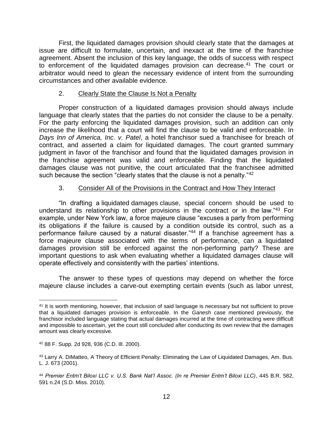First, the liquidated damages provision should clearly state that the damages at issue are difficult to formulate, uncertain, and inexact at the time of the franchise agreement. Absent the inclusion of this key language, the odds of success with respect to enforcement of the liquidated damages provision can decrease.<sup>41</sup> The court or arbitrator would need to glean the necessary evidence of intent from the surrounding circumstances and other available evidence.

#### <span id="page-13-0"></span>2. Clearly State the Clause Is Not a Penalty

Proper construction of a liquidated damages provision should always include language that clearly states that the parties do not consider the clause to be a penalty. For the party enforcing the liquidated damages provision, such an addition can only increase the likelihood that a court will find the clause to be valid and enforceable. In *Days Inn of America, Inc. v. Patel*, a hotel franchisor sued a franchisee for breach of contract, and asserted a claim for liquidated damages. The court granted summary judgment in favor of the franchisor and found that the liquidated damages provision in the franchise agreement was valid and enforceable. Finding that the liquidated damages clause was not punitive, the court articulated that the franchisee admitted such because the section "clearly states that the clause is not a penalty."<sup>42</sup>

## 3. Consider All of the Provisions in the Contract and How They Interact

<span id="page-13-1"></span>"In drafting a liquidated damages clause, special concern should be used to understand its relationship to other provisions in the contract or in the law."<sup>43</sup> For example, under New York law, a force majeure clause "excuses a party from performing its obligations if the failure is caused by a condition outside its control, such as a performance failure caused by a natural disaster."44 If a franchise agreement has a force majeure clause associated with the terms of performance, can a liquidated damages provision still be enforced against the non-performing party? These are important questions to ask when evaluating whether a liquidated damages clause will operate effectively and consistently with the parties' intentions.

The answer to these types of questions may depend on whether the force majeure clause includes a carve-out exempting certain events (such as labor unrest,

 $\overline{a}$ <sup>41</sup> It is worth mentioning, however, that inclusion of said language is necessary but not sufficient to prove that a liquidated damages provision is enforceable. In the *Ganesh* case mentioned previously, the franchisor included language stating that actual damages incurred at the time of contracting were difficult and impossible to ascertain, yet the court still concluded after conducting its own review that the damages amount was clearly excessive.

<sup>42</sup> 88 F. Supp. 2d 928, 936 (C.D. Ill. 2000).

<sup>43</sup> Larry A. DiMatteo, A Theory of Efficient Penalty: Eliminating the Law of Liquidated Damages, Am. Bus. L. J. 673 (2001).

<sup>44</sup> *Premier Entm't Biloxi LLC v. U.S. Bank Nat'l Assoc. (In re Premier Entm't Biloxi LLC)*, 445 B.R. 582, 591 n.24 (S.D. Miss. 2010).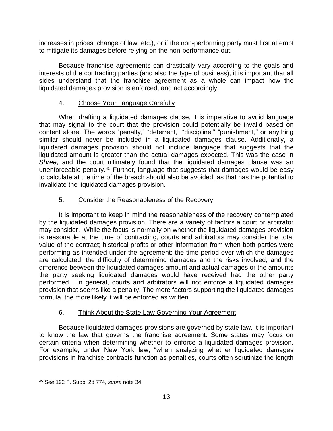increases in prices, change of law, etc.), or if the non-performing party must first attempt to mitigate its damages before relying on the non-performance out.

Because franchise agreements can drastically vary according to the goals and interests of the contracting parties (and also the type of business), it is important that all sides understand that the franchise agreement as a whole can impact how the liquidated damages provision is enforced, and act accordingly.

# 4. Choose Your Language Carefully

When drafting a liquidated damages clause, it is imperative to avoid language that may signal to the court that the provision could potentially be invalid based on content alone. The words "penalty," "deterrent," "discipline," "punishment," or anything similar should never be included in a liquidated damages clause. Additionally, a liquidated damages provision should not include language that suggests that the liquidated amount is greater than the actual damages expected. This was the case in *Shree*, and the court ultimately found that the liquidated damages clause was an unenforceable penalty.<sup>45</sup> Further, language that suggests that damages would be easy to calculate at the time of the breach should also be avoided, as that has the potential to invalidate the liquidated damages provision.

# 5. Consider the Reasonableness of the Recovery

It is important to keep in mind the reasonableness of the recovery contemplated by the liquidated damages provision. There are a variety of factors a court or arbitrator may consider. While the focus is normally on whether the liquidated damages provision is reasonable at the time of contracting, courts and arbitrators may consider the total value of the contract; historical profits or other information from when both parties were performing as intended under the agreement; the time period over which the damages are calculated; the difficulty of determining damages and the risks involved; and the difference between the liquidated damages amount and actual damages or the amounts the party seeking liquidated damages would have received had the other party performed. In general, courts and arbitrators will not enforce a liquidated damages provision that seems like a penalty. The more factors supporting the liquidated damages formula, the more likely it will be enforced as written.

# 6. Think About the State Law Governing Your Agreement

Because liquidated damages provisions are governed by state law, it is important to know the law that governs the franchise agreement. Some states may focus on certain criteria when determining whether to enforce a liquidated damages provision. For example, under New York law, "when analyzing whether liquidated damages provisions in franchise contracts function as penalties, courts often scrutinize the length

 $\overline{a}$ <sup>45</sup> *See* 192 F. Supp. 2d 774, *supra* note 34.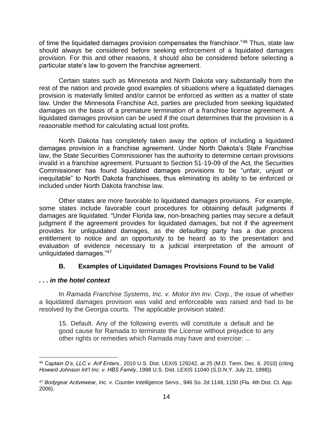of time the liquidated damages provision compensates the franchisor."<sup>46</sup> Thus, state law should always be considered before seeking enforcement of a liquidated damages provision. For this and other reasons, it should also be considered before selecting a particular state's law to govern the franchise agreement.

Certain states such as Minnesota and North Dakota vary substantially from the rest of the nation and provide good examples of situations where a liquidated damages provision is materially limited and/or cannot be enforced as written as a matter of state law. Under the Minnesota Franchise Act, parties are precluded from seeking liquidated damages on the basis of a premature termination of a franchise license agreement. A liquidated damages provision can be used if the court determines that the provision is a reasonable method for calculating actual lost profits.

North Dakota has completely taken away the option of including a liquidated damages provision in a franchise agreement. Under North Dakota's State Franchise law, the State Securities Commissioner has the authority to determine certain provisions invalid in a franchise agreement. Pursuant to Section 51-19-09 of the Act, the Securities Commissioner has found liquidated damages provisions to be "unfair, unjust or inequitable" to North Dakota franchisees, thus eliminating its ability to be enforced or included under North Dakota franchise law.

Other states are more favorable to liquidated damages provisions. For example, some states include favorable court procedures for obtaining default judgments if damages are liquidated. "Under Florida law, non-breaching parties may secure a default judgment if the agreement provides for liquidated damages, but not if the agreement provides for unliquidated damages, as the defaulting party has a due process entitlement to notice and an opportunity to be heard as to the presentation and evaluation of evidence necessary to a judicial interpretation of the amount of unliquidated damages."<sup>47</sup>

# **B. Examples of Liquidated Damages Provisions Found to be Valid**

## <span id="page-15-0"></span>*. . . in the hotel context*

 $\overline{a}$ 

In *Ramada Franchise Systems, Inc. v. Motor Inn Inv. Corp.*, the issue of whether a liquidated damages provision was valid and enforceable was raised and had to be resolved by the Georgia courts. The applicable provision stated:

15. Default. Any of the following events will constitute a default and be good cause for Ramada to terminate the License without prejudice to any other rights or remedies which Ramada may have and exercise: ...

<sup>46</sup> *Captain D's, LLC v. Arif Enters.*, 2010 U.S. Dist. LEXIS 129242, at 25 (M.D. Tenn. Dec. 6, 2010) (citing *Howard Johnson Int'l Inc. v. HBS Family*, 1998 U.S. Dist. LEXIS 11040 (S.D.N.Y. July 21, 1998)).

<sup>47</sup> *Bodygear Activewear, Inc. v. Counter Intelligence Servs.*, 946 So. 2d 1148, 1150 (Fla. 4th Dist. Ct. App. 2006).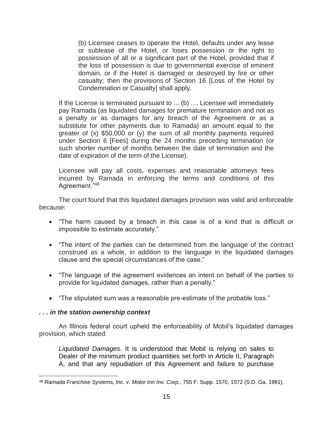(b) Licensee ceases to operate the Hotel, defaults under any lease or sublease of the Hotel, or loses possession or the right to possession of all or a significant part of the Hotel, provided that if the loss of possession is due to governmental exercise of eminent domain, or if the Hotel is damaged or destroyed by fire or other casualty; then the provisions of Section 16 [Loss of the Hotel by Condemnation or Casualty] shall apply.

If the License is terminated pursuant to ... (b) ..., Licensee will immediately pay Ramada (as liquidated damages for premature termination and not as a penalty or as damages for any breach of the Agreement or as a substitute for other payments due to Ramada) an amount equal to the greater of (x) \$50,000 or (y) the sum of all monthly payments required under Section 6 [Fees] during the 24 months preceding termination (or such shorter number of months between the date of termination and the date of expiration of the term of the License).

Licensee will pay all costs, expenses and reasonable attorneys fees incurred by Ramada in enforcing the terms and conditions of this Agreement."<sup>48</sup>

The court found that this liquidated damages provision was valid and enforceable because:

- "The harm caused by a breach in this case is of a kind that is difficult or impossible to estimate accurately."
- "The intent of the parties can be determined from the language of the contract construed as a whole, in addition to the language in the liquidated damages clause and the special circumstances of the case."
- "The language of the agreement evidences an intent on behalf of the parties to provide for liquidated damages, rather than a penalty."
- "The stipulated sum was a reasonable pre-estimate of the probable loss."

#### *. . . in the station ownership context*

 $\overline{a}$ 

An Illinois federal court upheld the enforceability of Mobil's liquidated damages provision, which stated:

*Liquidated Damages*. It is understood that Mobil is relying on sales to Dealer of the minimum product quantities set forth in Article II, Paragraph A, and that any repudiation of this Agreement and failure to purchase

<sup>48</sup> *Ramada Franchise Systems, Inc. v. Motor Inn Inv. Corp.*, 755 F. Supp. 1570, 1572 (S.D. Ga. 1991).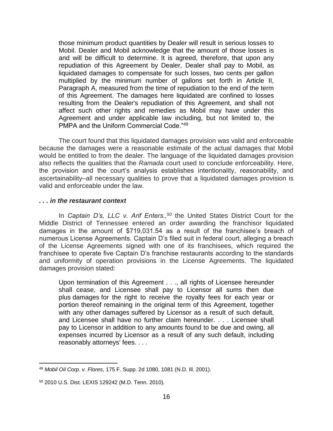those minimum product quantities by Dealer will result in serious losses to Mobil. Dealer and Mobil acknowledge that the amount of those losses is and will be difficult to determine. It is agreed, therefore, that upon any repudiation of this Agreement by Dealer, Dealer shall pay to Mobil, as liquidated damages to compensate for such losses, two cents per gallon multiplied by the minimum number of gallons set forth in Article II, Paragraph A, measured from the time of repudiation to the end of the term of this Agreement. The damages here liquidated are confined to losses resulting from the Dealer's repudiation of this Agreement, and shall not affect such other rights and remedies as Mobil may have under this Agreement and under applicable law including, but not limited to, the PMPA and the Uniform Commercial Code."<sup>49</sup>

The court found that this liquidated damages provision was valid and enforceable because the damages were a reasonable estimate of the actual damages that Mobil would be entitled to from the dealer. The language of the liquidated damages provision also reflects the qualities that the *Ramada* court used to conclude enforceability. Here, the provision and the court's analysis establishes intentionality, reasonability, and ascertainability–all necessary qualities to prove that a liquidated damages provision is valid and enforceable under the law.

#### *. . . in the restaurant context*

In *Captain D's, LLC v. Arif Enters.,<sup>50</sup>* the United States District Court for the Middle District of Tennessee entered an order awarding the franchisor liquidated damages in the amount of \$719,031.54 as a result of the franchisee's breach of numerous License Agreements. Captain D's filed suit in federal court, alleging a breach of the License Agreements signed with one of its franchisees, which required the franchisee to operate five Captain D's franchise restaurants according to the standards and uniformity of operation provisions in the License Agreements. The liquidated damages provision stated:

Upon termination of this Agreement . . ., all rights of Licensee hereunder shall cease, and Licensee shall pay to Licensor all sums then due plus damages for the right to receive the royalty fees for each year or portion thereof remaining in the original term of this Agreement, together with any other damages suffered by Licensor as a result of such default, and Licensee shall have no further claim hereunder. . . . Licensee shall pay to Licensor in addition to any amounts found to be due and owing, all expenses incurred by Licensor as a result of any such default, including reasonably attorneys' fees. . . .

<sup>49</sup> *Mobil Oil Corp. v. Flores*, 175 F. Supp. 2d 1080, 1081 (N.D. Ill. 2001).

<sup>50</sup> 2010 U.S. Dist. LEXIS 129242 (M.D. Tenn. 2010).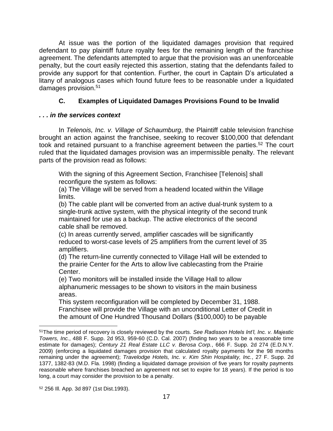At issue was the portion of the liquidated damages provision that required defendant to pay plaintiff future royalty fees for the remaining length of the franchise agreement. The defendants attempted to argue that the provision was an unenforceable penalty, but the court easily rejected this assertion, stating that the defendants failed to provide any support for that contention. Further, the court in Captain D's articulated a litany of analogous cases which found future fees to be reasonable under a liquidated damages provision.<sup>51</sup>

# **C. Examples of Liquidated Damages Provisions Found to be Invalid**

## <span id="page-18-0"></span>*. . . in the services context*

In *Telenois, Inc. v. Village of Schaumburg*, the Plaintiff cable television franchise brought an action against the franchisee, seeking to recover \$100,000 that defendant took and retained pursuant to a franchise agreement between the parties.<sup>52</sup> The court ruled that the liquidated damages provision was an impermissible penalty. The relevant parts of the provision read as follows:

With the signing of this Agreement Section, Franchisee [Telenois] shall reconfigure the system as follows:

(a) The Village will be served from a headend located within the Village limits.

(b) The cable plant will be converted from an active dual-trunk system to a single-trunk active system, with the physical integrity of the second trunk maintained for use as a backup. The active electronics of the second cable shall be removed.

(c) In areas currently served, amplifier cascades will be significantly reduced to worst-case levels of 25 amplifiers from the current level of 35 amplifiers.

(d) The return-line currently connected to Village Hall will be extended to the prairie Center for the Arts to allow live cablecasting from the Prairie Center.

(e) Two monitors will be installed inside the Village Hall to allow alphanumeric messages to be shown to visitors in the main business areas.

This system reconfiguration will be completed by December 31, 1988. Franchisee will provide the Village with an unconditional Letter of Credit in the amount of One Hundred Thousand Dollars (\$100,000) to be payable

<sup>51</sup>The time period of recovery is closely reviewed by the courts. *See Radisson Hotels Int'l, Inc. v. Majestic Towers, Inc.*, 488 F. Supp. 2d 953, 959-60 (C.D. Cal. 2007) (finding two years to be a reasonable time estimate for damages); *Century 21 Real Estate LLC v. Berosa Corp.*, 666 F. Supp. 2d 274 (E.D.N.Y. 2009) (enforcing a liquidated damages provision that calculated royalty payments for the 98 months remaining under the agreement); *Travelodge Hotels, Inc. v. Kim Shin Hospitality, Inc.*, 27 F. Supp. 2d 1377, 1382-83 (M.D. Fla. 1998) (finding a liquidated damage provision of five years for royalty payments reasonable where franchises breached an agreement not set to expire for 18 years). If the period is too long, a court may consider the provision to be a penalty.

<sup>52</sup> 256 Ill. App. 3d 897 (1st Dist.1993).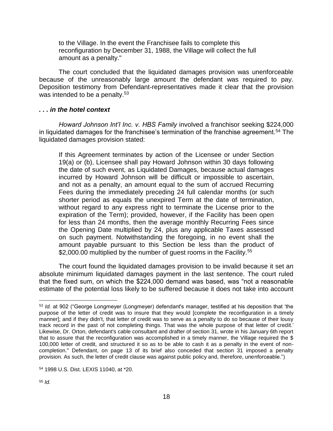to the Village. In the event the Franchisee fails to complete this reconfiguration by December 31, 1988, the Village will collect the full amount as a penalty."

The court concluded that the liquidated damages provision was unenforceable because of the unreasonably large amount the defendant was required to pay. Deposition testimony from Defendant-representatives made it clear that the provision was intended to be a penalty.<sup>53</sup>

#### *. . . in the hotel context*

*Howard Johnson Int'l Inc. v. HBS Family* involved a franchisor seeking \$224,000 in liquidated damages for the franchisee's termination of the franchise agreement.<sup>54</sup> The liquidated damages provision stated:

If this Agreement terminates by action of the Licensee or under Section 19(a) or (b), Licensee shall pay Howard Johnson within 30 days following the date of such event, as Liquidated Damages, because actual damages incurred by Howard Johnson will be difficult or impossible to ascertain, and not as a penalty, an amount equal to the sum of accrued Recurring Fees during the immediately preceding 24 full calendar months (or such shorter period as equals the unexpired Term at the date of termination, without regard to any express right to terminate the License prior to the expiration of the Term); provided, however, if the Facility has been open for less than 24 months, then the average monthly Recurring Fees since the Opening Date multiplied by 24, plus any applicable Taxes assessed on such payment. Notwithstanding the foregoing, in no event shall the amount payable pursuant to this Section be less than the product of \$2,000.00 multiplied by the number of quest rooms in the Facility.<sup>55</sup>

The court found the liquidated damages provision to be invalid because it set an absolute minimum liquidated damages payment in the last sentence. The court ruled that the fixed sum, on which the \$224,000 demand was based, was "not a reasonable estimate of the potential loss likely to be suffered because it does not take into account

<sup>53</sup> *Id.* at 902 ("George Longmeyer (Longmeyer) defendant's manager, testified at his deposition that 'the purpose of the letter of credit was to insure that they would [complete the reconfiguration in a timely manner]; and if they didn't, that letter of credit was to serve as a penalty to do so because of their lousy track record in the past of not completing things. That was the whole purpose of that letter of credit.' Likewise, Dr. Orton, defendant's cable consultant and drafter of section 31, wrote in his January 6th report that to assure that the reconfiguration was accomplished in a timely manner, the Village required the \$ 100,000 letter of credit, and structured it so as to be able to cash it as a penalty in the event of noncompletion." Defendant, on page 13 of its brief also conceded that section 31 imposed a penalty provision. As such, the letter of credit clause was against public policy and, therefore, unenforceable.")

<sup>54</sup> 1998 U.S. Dist. LEXIS 11040, at \*20.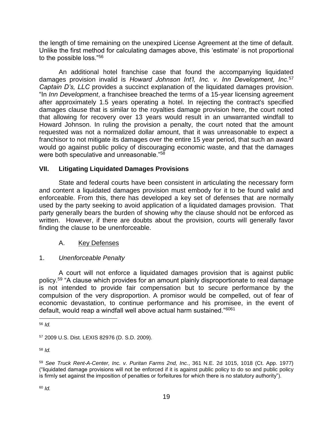the length of time remaining on the unexpired License Agreement at the time of default. Unlike the first method for calculating damages above, this 'estimate' is not proportional to the possible loss."<sup>56</sup>

An additional hotel franchise case that found the accompanying liquidated damages provision invalid is *Howard Johnson Int'l, Inc. v. Inn Development, Inc.*<sup>57</sup> *Captain D's, LLC* provides a succinct explanation of the liquidated damages provision. "In *Inn Development*, a franchisee breached the terms of a 15-year licensing agreement after approximately 1.5 years operating a hotel. In rejecting the contract's specified damages clause that is similar to the royalties damage provision here, the court noted that allowing for recovery over 13 years would result in an unwarranted windfall to Howard Johnson. In ruling the provision a penalty, the court noted that the amount requested was not a normalized dollar amount, that it was unreasonable to expect a franchisor to not mitigate its damages over the entire 15 year period, that such an award would go against public policy of discouraging economic waste, and that the damages were both speculative and unreasonable."<sup>58</sup>

## <span id="page-20-0"></span>**VII. Litigating Liquidated Damages Provisions**

State and federal courts have been consistent in articulating the necessary form and content a liquidated damages provision must embody for it to be found valid and enforceable. From this, there has developed a key set of defenses that are normally used by the party seeking to avoid application of a liquidated damages provision. That party generally bears the burden of showing why the clause should not be enforced as written. However, if there are doubts about the provision, courts will generally favor finding the clause to be unenforceable.

## A. Key Defenses

## 1. *Unenforceable Penalty*

A court will not enforce a liquidated damages provision that is against public policy.<sup>59</sup> "A clause which provides for an amount plainly disproportionate to real damage is not intended to provide fair compensation but to secure performance by the compulsion of the very disproportion. A promisor would be compelled, out of fear of economic devastation, to continue performance and his promisee, in the event of default, would reap a windfall well above actual harm sustained."<sup>6061</sup>

<sup>58</sup> *Id.*

 $\overline{a}$ <sup>56</sup> *Id.*

<sup>57</sup> 2009 U.S. Dist. LEXIS 82976 (D. S.D. 2009).

<sup>59</sup> *See Truck Rent-A-Center, Inc. v. Puritan Farms 2nd, Inc.*, 361 N.E. 2d 1015, 1018 (Ct. App. 1977) ("liquidated damage provisions will not be enforced if it is against public policy to do so and public policy is firmly set against the imposition of penalties or forfeitures for which there is no statutory authority").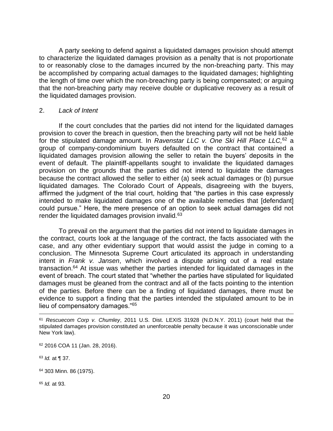A party seeking to defend against a liquidated damages provision should attempt to characterize the liquidated damages provision as a penalty that is not proportionate to or reasonably close to the damages incurred by the non-breaching party. This may be accomplished by comparing actual damages to the liquidated damages; highlighting the length of time over which the non-breaching party is being compensated; or arguing that the non-breaching party may receive double or duplicative recovery as a result of the liquidated damages provision.

#### 2. *Lack of Intent*

If the court concludes that the parties did not intend for the liquidated damages provision to cover the breach in question, then the breaching party will not be held liable for the stipulated damage amount. In *Ravenstar LLC v. One Ski Hill Place LLC,*<sup>62</sup> a group of company-condominium buyers defaulted on the contract that contained a liquidated damages provision allowing the seller to retain the buyers' deposits in the event of default. The plaintiff-appellants sought to invalidate the liquidated damages provision on the grounds that the parties did not intend to liquidate the damages because the contract allowed the seller to either (a) seek actual damages or (b) pursue liquidated damages. The Colorado Court of Appeals, disagreeing with the buyers, affirmed the judgment of the trial court, holding that "the parties in this case expressly intended to make liquidated damages one of the available remedies that [defendant] could pursue." Here, the mere presence of an option to seek actual damages did not render the liquidated damages provision invalid.<sup>63</sup>

To prevail on the argument that the parties did not intend to liquidate damages in the contract, courts look at the language of the contract, the facts associated with the case, and any other evidentiary support that would assist the judge in coming to a conclusion. The Minnesota Supreme Court articulated its approach in understanding intent in *Frank v. Jansen*, which involved a dispute arising out of a real estate transaction.<sup>64</sup> At issue was whether the parties intended for liquidated damages in the event of breach. The court stated that "whether the parties have stipulated for liquidated damages must be gleaned from the contract and all of the facts pointing to the intention of the parties. Before there can be a finding of liquidated damages, there must be evidence to support a finding that the parties intended the stipulated amount to be in lieu of compensatory damages."<sup>65</sup>

<sup>63</sup> *Id.* at ¶ 37.

 $\overline{a}$ 

<sup>65</sup> *Id.* at 93.

<sup>61</sup> *Rescuecom Corp v. Chumley*, 2011 U.S. Dist. LEXIS 31928 (N.D.N.Y. 2011) (court held that the stipulated damages provision constituted an unenforceable penalty because it was unconscionable under New York law).

<sup>62</sup> 2016 COA 11 (Jan. 28, 2016).

<sup>64</sup> 303 Minn. 86 (1975).